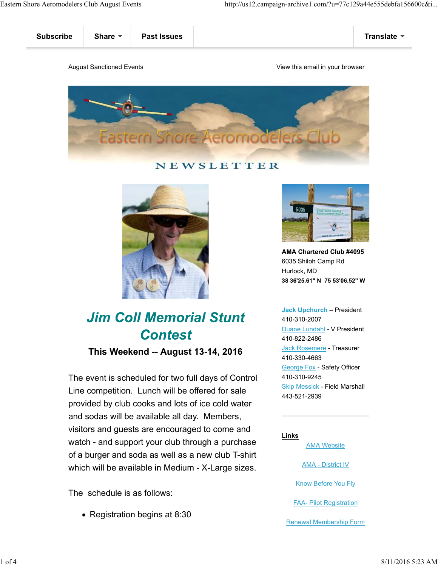

## NEWSLETTER



# **Jim Coll Memorial Stunt Contest**

**This Weekend -- August 13-14, 2016**

The event is scheduled for two full days of Control Line competition. Lunch will be offered for sale provided by club cooks and lots of ice cold water and sodas will be available all day. Members, visitors and guests are encouraged to come and watch - and support your club through a purchase of a burger and soda as well as a new club T-shirt which will be available in Medium - X-Large sizes.

The schedule is as follows:

• Registration begins at 8:30



**AMA Chartered Club #4095** 6035 Shiloh Camp Rd Hurlock, MD **38 36'25.61" N 75 53'06.52" W**

**Jack Upchurch** – President 410-310-2007 Duane Lundahl - V President 410-822-2486 Jack Rosemere - Treasurer 410-330-4663 George Fox - Safety Officer 410-310-9245 Skip Messick - Field Marshall 443-521-2939

**Links**

AMA Website

AMA - District IV

Know Before You Fly

FAA- Pilot Registration

Renewal Membership Form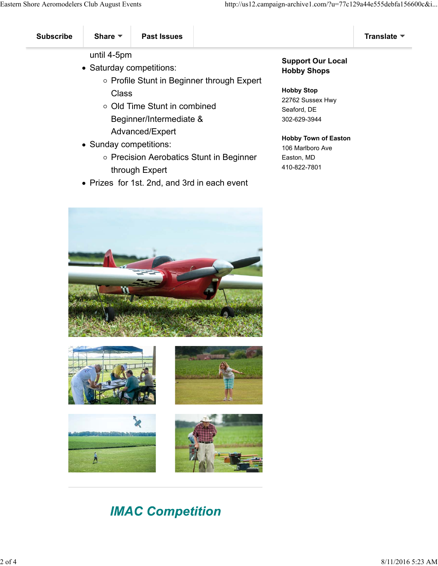until 4-5pm

- Saturday competitions:
	- o Profile Stunt in Beginner through Expert Class
	- Old Time Stunt in combined Beginner/Intermediate & Advanced/Expert
- Sunday competitions:
	- o Precision Aerobatics Stunt in Beginner through Expert
- Prizes for 1st. 2nd, and 3rd in each event

### **Support Our Local Hobby Shops**

#### **Hobby Stop**

22762 Sussex Hwy Seaford, DE 302-629-3944

#### **Hobby Town of Easton**

106 Marlboro Ave Easton, MD 410-822-7801











# **IMAC Competition**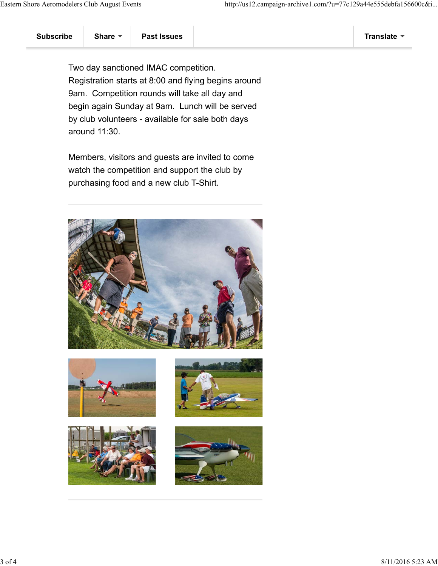Two day sanctioned IMAC competition. Registration starts at 8:00 and flying begins around 9am. Competition rounds will take all day and begin again Sunday at 9am. Lunch will be served by club volunteers - available for sale both days around 11:30.

Members, visitors and guests are invited to come watch the competition and support the club by purchasing food and a new club T-Shirt.